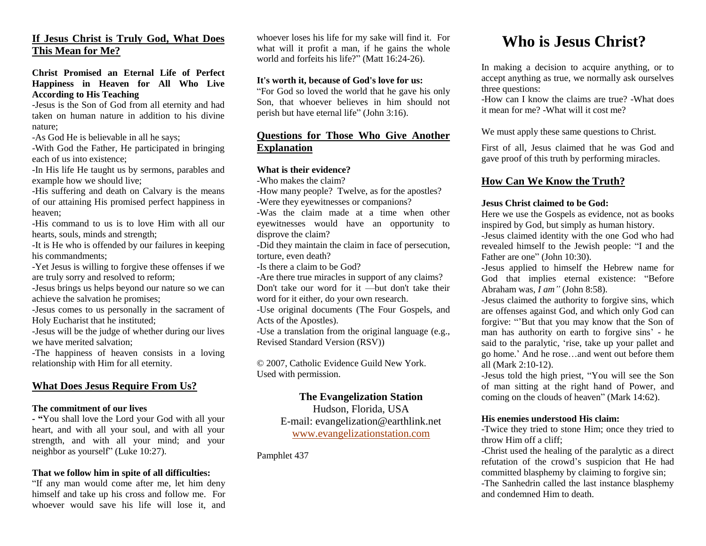# **If Jesus Christ is Truly God, What Does This Mean for Me?**

**Christ Promised an Eternal Life of Perfect Happiness in Heaven for All Who Live According to His Teaching**

-Jesus is the Son of God from all eternity and had taken on human nature in addition to his divine nature;

-As God He is believable in all he says;

-With God the Father, He participated in bringing each of us into existence;

-In His life He taught us by sermons, parables and example how we should live;

-His suffering and death on Calvary is the means of our attaining His promised perfect happiness in heaven;

-His command to us is to love Him with all our hearts, souls, minds and strength;

-It is He who is offended by our failures in keeping his commandments;

-Yet Jesus is willing to forgive these offenses if we are truly sorry and resolved to reform;

-Jesus brings us helps beyond our nature so we can achieve the salvation he promises;

-Jesus comes to us personally in the sacrament of Holy Eucharist that he instituted;

-Jesus will be the judge of whether during our lives we have merited salvation;

-The happiness of heaven consists in a loving relationship with Him for all eternity.

# **What Does Jesus Require From Us?**

#### **The commitment of our lives**

**- "**You shall love the Lord your God with all your heart, and with all your soul, and with all your strength, and with all your mind; and your neighbor as yourself" (Luke 10:27).

#### **That we follow him in spite of all difficulties:**

"If any man would come after me, let him deny himself and take up his cross and follow me. For whoever would save his life will lose it, and

whoever loses his life for my sake will find it. For what will it profit a man, if he gains the whole world and forfeits his life?" (Matt 16:24-26).

#### **It's worth it, because of God's love for us:**

"For God so loved the world that he gave his only Son, that whoever believes in him should not perish but have eternal life" (John 3:16).

# **Questions for Those Who Give Another Explanation**

#### **What is their evidence?**

-Who makes the claim?

-How many people? Twelve, as for the apostles? -Were they eyewitnesses or companions?

-Was the claim made at a time when other eyewitnesses would have an opportunity to disprove the claim?

-Did they maintain the claim in face of persecution, torture, even death?

-Is there a claim to be God?

-Are there true miracles in support of any claims?

Don't take our word for it —but don't take their word for it either, do your own research.

-Use original documents (The Four Gospels, and Acts of the Apostles).

-Use a translation from the original language (e.g., Revised Standard Version (RSV))

© 2007, Catholic Evidence Guild New York. Used with permission.

# **The Evangelization Station**

Hudson, Florida, USA E-mail: evangelization@earthlink.net [www.evangelizationstation.com](http://www.pjpiisoe.org/)

Pamphlet 437

# **Who is Jesus Christ?**

In making a decision to acquire anything, or to accept anything as true, we normally ask ourselves three questions:

-How can I know the claims are true? -What does it mean for me? -What will it cost me?

We must apply these same questions to Christ.

First of all, Jesus claimed that he was God and gave proof of this truth by performing miracles.

# **How Can We Know the Truth?**

#### **Jesus Christ claimed to be God:**

Here we use the Gospels as evidence, not as books inspired by God, but simply as human history. -Jesus claimed identity with the one God who had revealed himself to the Jewish people: "I and the

Father are one" (John 10:30). -Jesus applied to himself the Hebrew name for God that implies eternal existence: "Before Abraham was, *I am"* (John 8:58).

-Jesus claimed the authority to forgive sins, which are offenses against God, and which only God can forgive: "'But that you may know that the Son of man has authority on earth to forgive sins' - he said to the paralytic, 'rise, take up your pallet and go home.' And he rose…and went out before them all (Mark 2:10-12).

-Jesus told the high priest, "You will see the Son of man sitting at the right hand of Power, and coming on the clouds of heaven" (Mark 14:62).

#### **His enemies understood His claim:**

-Twice they tried to stone Him; once they tried to throw Him off a cliff;

-Christ used the healing of the paralytic as a direct refutation of the crowd's suspicion that He had committed blasphemy by claiming to forgive sin; -The Sanhedrin called the last instance blasphemy and condemned Him to death.